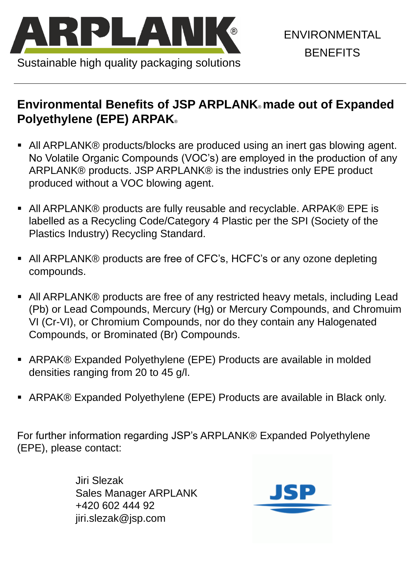

Sustainable high quality packaging solutions

ENVIRONMENTAL **BENEFITS** 

# **Environmental Benefits of JSP ARPLANK**® **made out of Expanded Polyethylene (EPE) ARPAK**®

- All ARPLANK® products/blocks are produced using an inert gas blowing agent. No Volatile Organic Compounds (VOC's) are employed in the production of any ARPLANK® products. JSP ARPLANK® is the industries only EPE product produced without a VOC blowing agent.
- All ARPLANK® products are fully reusable and recyclable. ARPAK® EPE is labelled as a Recycling Code/Category 4 Plastic per the SPI (Society of the Plastics Industry) Recycling Standard.
- All ARPLANK® products are free of CFC's, HCFC's or any ozone depleting compounds.
- All ARPLANK® products are free of any restricted heavy metals, including Lead (Pb) or Lead Compounds, Mercury (Hg) or Mercury Compounds, and Chromuim VI (Cr-VI), or Chromium Compounds, nor do they contain any Halogenated Compounds, or Brominated (Br) Compounds.
- ARPAK® Expanded Polyethylene (EPE) Products are available in molded densities ranging from 20 to 45 g/l.

■ ARPAK® Expanded Polyethylene (EPE) Products are available in Black only.

For further information regarding JSP's ARPLANK® Expanded Polyethylene (EPE), please contact:

> Jiri Slezak Sales Manager ARPLANK +420 602 444 92 jiri.slezak@jsp.com

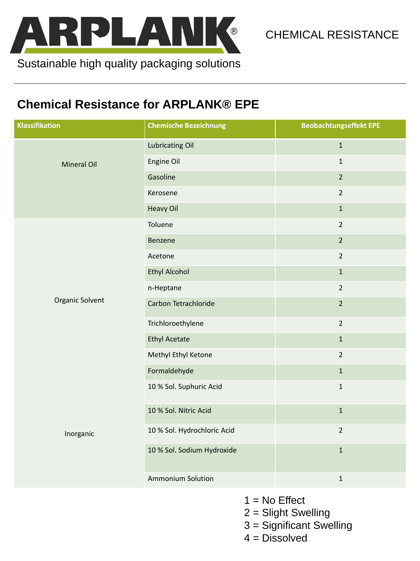

CHEMICAL RESISTANCE

#### **Chemical Resistance for ARPLANK® EPE**

- $1 = No$  Effect
- 2 = Slight Swelling
- 3 = Significant Swelling
- 4 = Dissolved

| <b>Klassifikation</b>  | <b>Chemische Bezeichnung</b> | <b>Beobachtungseffekt EPE</b> |
|------------------------|------------------------------|-------------------------------|
| <b>Mineral Oil</b>     | <b>Lubricating Oil</b>       | $\mathbf{1}$                  |
|                        | <b>Engine Oil</b>            | $\mathbf{1}$                  |
|                        | Gasoline                     | $\overline{2}$                |
|                        | Kerosene                     | $\overline{2}$                |
|                        | <b>Heavy Oil</b>             | $\mathbf{1}$                  |
| <b>Organic Solvent</b> | Toluene                      | $\overline{2}$                |
|                        | Benzene                      | $\overline{2}$                |
|                        | Acetone                      | $\overline{2}$                |
|                        | <b>Ethyl Alcohol</b>         | $\mathbf{1}$                  |
|                        | n-Heptane                    | $\overline{2}$                |
|                        | <b>Carbon Tetrachloride</b>  | $\overline{2}$                |
|                        | Trichloroethylene            | $\overline{2}$                |
|                        | <b>Ethyl Acetate</b>         | $\mathbf{1}$                  |
|                        | Methyl Ethyl Ketone          | $\overline{2}$                |
|                        | Formaldehyde                 | $\mathbf{1}$                  |
|                        | 10 % Sol. Suphuric Acid      | $\mathbf{1}$                  |

| Inorganic | 10 % Sol. Nitric Acid       |  |
|-----------|-----------------------------|--|
|           | 10 % Sol. Hydrochloric Acid |  |
|           | 10 % Sol. Sodium Hydroxide  |  |
|           | <b>Ammonium Solution</b>    |  |

Sustainable high quality packaging solutions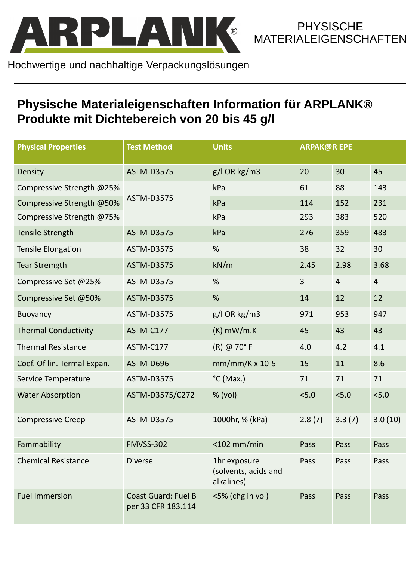

**PHYSISCHE** MATERIALEIGENSCHAFTEN

| <b>Physical Properties</b>  | <b>Test Method</b>                               | <b>Units</b>                                       | <b>ARPAK@REPE</b> |                |                |
|-----------------------------|--------------------------------------------------|----------------------------------------------------|-------------------|----------------|----------------|
| Density                     | <b>ASTM-D3575</b>                                | $g/l$ OR kg/m3                                     | 20                | 30             | 45             |
| Compressive Strength @25%   | <b>ASTM-D3575</b>                                | kPa                                                | 61                | 88             | 143            |
| Compressive Strength @50%   |                                                  | kPa                                                | 114               | 152            | 231            |
| Compressive Strength @75%   |                                                  | kPa                                                | 293               | 383            | 520            |
| Tensile Strength            | <b>ASTM-D3575</b>                                | kPa                                                | 276               | 359            | 483            |
| <b>Tensile Elongation</b>   | <b>ASTM-D3575</b>                                | $\frac{0}{6}$                                      | 38                | 32             | 30             |
| Tear Stremgth               | <b>ASTM-D3575</b>                                | kN/m                                               | 2.45              | 2.98           | 3.68           |
| Compressive Set @25%        | <b>ASTM-D3575</b>                                | $\frac{0}{6}$                                      | $\overline{3}$    | $\overline{4}$ | $\overline{4}$ |
| Compressive Set @50%        | <b>ASTM-D3575</b>                                | $\frac{0}{6}$                                      | 14                | 12             | 12             |
| <b>Buoyancy</b>             | <b>ASTM-D3575</b>                                | $g/l$ OR kg/m3                                     | 971               | 953            | 947            |
| <b>Thermal Conductivity</b> | ASTM-C177                                        | $(K)$ mW/m.K                                       | 45                | 43             | 43             |
| <b>Thermal Resistance</b>   | ASTM-C177                                        | $(R)$ @ 70 $\degree$ F                             | 4.0               | 4.2            | 4.1            |
| Coef. Of lin. Termal Expan. | ASTM-D696                                        | $mm/mm/K \times 10-5$                              | 15                | 11             | 8.6            |
| Service Temperature         | <b>ASTM-D3575</b>                                | $^{\circ}$ C (Max.)                                | 71                | 71             | 71             |
| <b>Water Absorption</b>     | ASTM-D3575/C272                                  | % (vol)                                            | < 5.0             | < 5.0          | 5.0            |
| <b>Compressive Creep</b>    | <b>ASTM-D3575</b>                                | 1000hr, % (kPa)                                    | 2.8(7)            | 3.3(7)         | 3.0(10)        |
| Fammability                 | <b>FMVSS-302</b>                                 | $<$ 102 mm/min                                     | Pass              | Pass           | Pass           |
| <b>Chemical Resistance</b>  | <b>Diverse</b>                                   | 1hr exposure<br>(solvents, acids and<br>alkalines) | Pass              | Pass           | Pass           |
| <b>Fuel Immersion</b>       | <b>Coast Guard: Fuel B</b><br>per 33 CFR 183.114 | <5% (chg in vol)                                   | <b>Pass</b>       | Pass           | Pass           |

Hochwertige und nachhaltige Verpackungslösungen

# **Physische Materialeigenschaften Information für ARPLANK® Produkte mit Dichtebereich von 20 bis 45 g/l**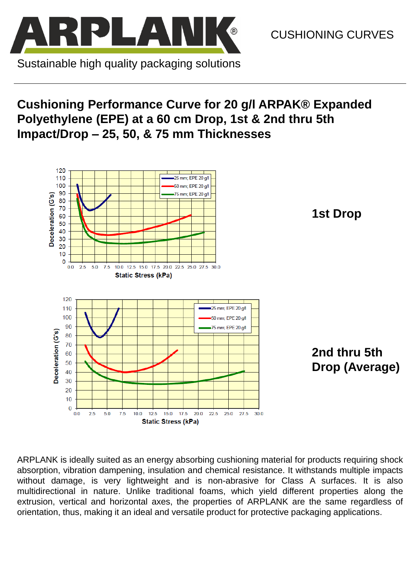

CUSHIONING CURVES

# **Cushioning Performance Curve for 20 g/l ARPAK® Expanded Polyethylene (EPE) at a 60 cm Drop, 1st & 2nd thru 5th Impact/Drop – 25, 50, & 75 mm Thicknesses**



ARPLANK is ideally suited as an energy absorbing cushioning material for products requiring shock absorption, vibration dampening, insulation and chemical resistance. It withstands multiple impacts without damage, is very lightweight and is non-abrasive for Class A surfaces. It is also multidirectional in nature. Unlike traditional foams, which yield different properties along the extrusion, vertical and horizontal axes, the properties of ARPLANK are the same regardless of orientation, thus, making it an ideal and versatile product for protective packaging applications.

**1st Drop** 

**2nd thru 5th Drop (Average)** 

Sustainable high quality packaging solutions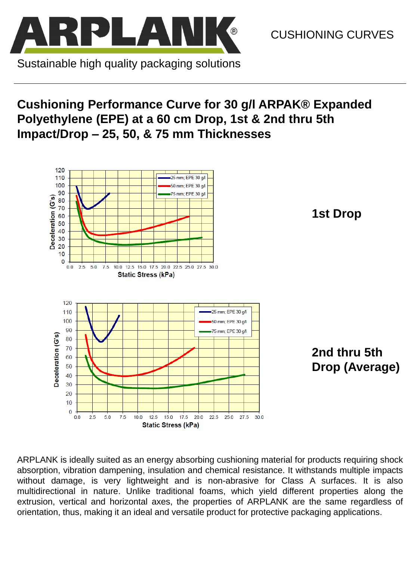# **Cushioning Performance Curve for 30 g/l ARPAK® Expanded Polyethylene (EPE) at a 60 cm Drop, 1st & 2nd thru 5th Impact/Drop – 25, 50, & 75 mm Thicknesses**



**1st Drop** 

**2nd thru 5th Drop (Average)** 



CUSHIONING CURVES

Sustainable high quality packaging solutions

ARPLANK is ideally suited as an energy absorbing cushioning material for products requiring shock absorption, vibration dampening, insulation and chemical resistance. It withstands multiple impacts without damage, is very lightweight and is non-abrasive for Class A surfaces. It is also multidirectional in nature. Unlike traditional foams, which yield different properties along the extrusion, vertical and horizontal axes, the properties of ARPLANK are the same regardless of orientation, thus, making it an ideal and versatile product for protective packaging applications.